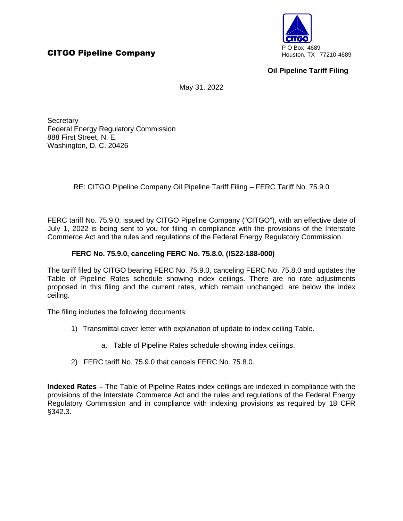

## **Oil Pipeline Tariff Filing**

May 31, 2022

**Secretary** Federal Energy Regulatory Commission 888 First Street, N. E. Washington, D. C. 20426

RE: CITGO Pipeline Company Oil Pipeline Tariff Filing – FERC Tariff No. 75.9.0

FERC tariff No. 75.9.0, issued by CITGO Pipeline Company ("CITGO"), with an effective date of July 1, 2022 is being sent to you for filing in compliance with the provisions of the Interstate Commerce Act and the rules and regulations of the Federal Energy Regulatory Commission.

## **FERC No. 75.9.0, canceling FERC No. 75.8.0, (IS22-188-000)**

The tariff filed by CITGO bearing FERC No. 75.9.0, canceling FERC No. 75.8.0 and updates the Table of Pipeline Rates schedule showing index ceilings. There are no rate adjustments proposed in this filing and the current rates, which remain unchanged, are below the index ceiling.

The filing includes the following documents:

- 1) Transmittal cover letter with explanation of update to index ceiling Table.
	- a. Table of Pipeline Rates schedule showing index ceilings.
- 2) FERC tariff No. 75.9.0 that cancels FERC No. 75.8.0.

**Indexed Rates** – The Table of Pipeline Rates index ceilings are indexed in compliance with the provisions of the Interstate Commerce Act and the rules and regulations of the Federal Energy Regulatory Commission and in compliance with indexing provisions as required by 18 CFR §342.3.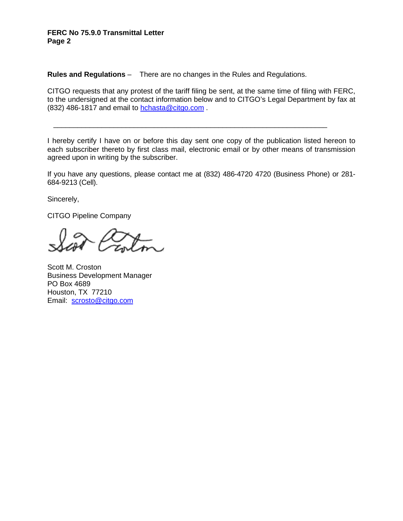## **FERC No 75.9.0 Transmittal Letter Page 2**

**Rules and Regulations** – There are no changes in the Rules and Regulations.

CITGO requests that any protest of the tariff filing be sent, at the same time of filing with FERC, to the undersigned at the contact information below and to CITGO's Legal Department by fax at (832) 486-1817 and email to hchasta@citgo.com .

I hereby certify I have on or before this day sent one copy of the publication listed hereon to each subscriber thereto by first class mail, electronic email or by other means of transmission agreed upon in writing by the subscriber.

\_\_\_\_\_\_\_\_\_\_\_\_\_\_\_\_\_\_\_\_\_\_\_\_\_\_\_\_\_\_\_\_\_\_\_\_\_\_\_\_\_\_\_\_\_\_\_\_\_\_\_\_\_\_\_\_\_\_\_\_\_\_\_\_\_\_\_\_

If you have any questions, please contact me at (832) 486-4720 4720 (Business Phone) or 281- 684-9213 (Cell).

Sincerely,

CITGO Pipeline Company

Scott M. Croston Business Development Manager PO Box 4689 Houston, TX 77210 Email: scrosto@citgo.com